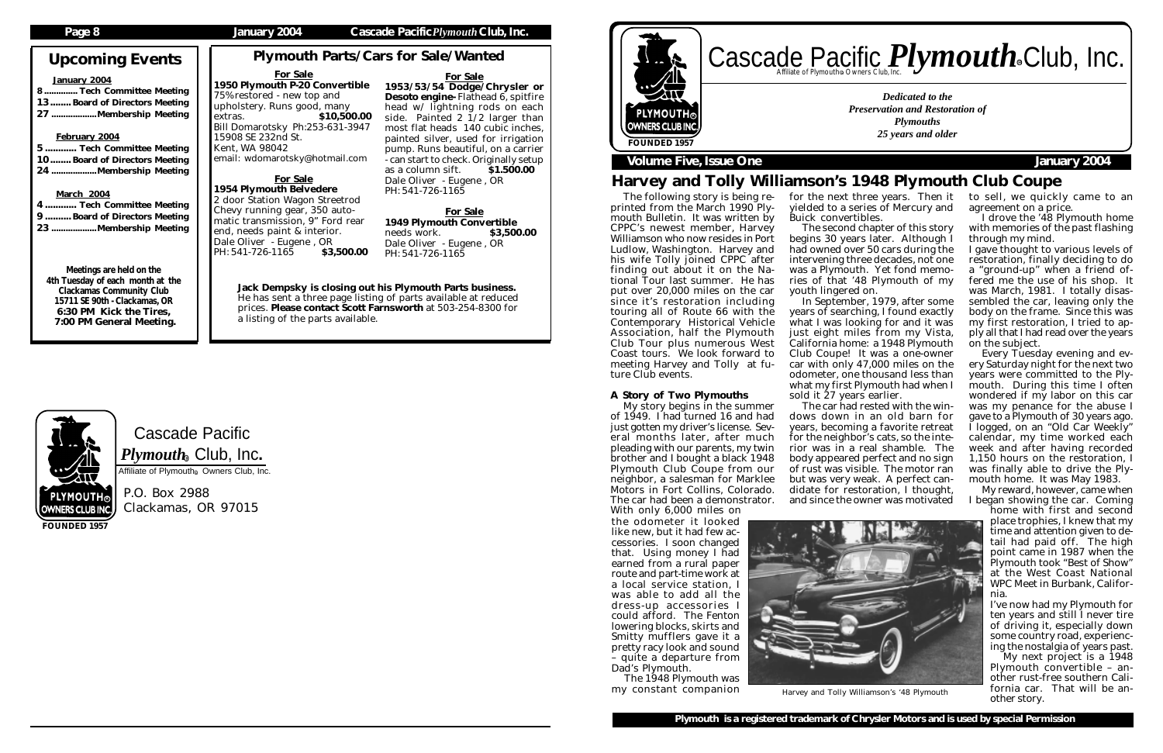# Cascade Pacific  $\boldsymbol{P} \boldsymbol{l}$ y $\boldsymbol{m} \boldsymbol{o}$ ut $\boldsymbol{h}_\circledast$  Club, Inc.

Affiliate of Plymouth<sup>®</sup> Owners Club, Inc.

P.O. Box 2988 Clackamas, OR 97015

# Upcoming Events

### January 2004

| 8 Tech Committee Meeting      |  |
|-------------------------------|--|
| 13 Board of Directors Meeting |  |
| 27 Membership Meeting         |  |

### February 2004

5 ............ Tech Committee Meeting 10........ Board of Directors Meeting 24 ...................Membership Meeting

### **March 2004**

## Cascade Pacific *Plymouth* Souriers Club, Inc. R R *Dedicated to the Preservation and Restoration of* PLYMOUTH® *Plymouths* **OWNERS CLUB INC** *25 years and older* **FOUNDED 1957**

## **Volume Five, Issue One January 2004**

| 4 Tech Committee Meeting     |
|------------------------------|
| 9 Board of Directors Meeting |
| 23 Membership Meeting        |

Meetings are held on the 4th Tuesday of each month at the Clackamas Community Club 15711 SE 90th - Clackamas, OR 6:30 PM Kick the Tires, 7:00 PM General Meeting.

**FOUNDED 1957**

### **Page 8 January 2004 Cascade Pacific***Plymouth***Club, Inc.**

2 door Station Wagon Streetrod Chevy running gear, 350 automatic transmission, 9" Ford rear end, needs paint & interior. Dale Oliver - Eugene, OR PH: 541-726-1165 \$3,500.00

# Harvey and Tolly Williamson's 1948 Plymouth Club Coupe

Plymouth Parts/Cars for Sale/Wanted



For Sale 1953/53/54 Dodge/Chrysler or Desoto engine- Flathead 6, spitfire head w/ lightning rods on each side. Painted 2 1/2 larger than most flat heads 140 cubic inches, painted silver, used for irrigation pump. Runs beautiful, on a carrier - can start to check. Originally setup as a column sift.  $\qquad$  \$1.500.00 Dale Oliver - Eugene , OR PH: 541-726-1165

For Sale 1949 Plymouth Convertible needs work. **\$3,500.00** Dale Oliver - Eugene , OR PH: 541-726-1165

#### For Sale 1950 Plymouth P-20 Convertible 75% restored - new top and upholstery. Runs good, many extras. \$10,500.00 Bill Domarotsky Ph:253-631-3947 15908 SE 232nd St. Kent, WA 98042 email: wdomarotsky@hotmail.com

### For Sale 1954 Plymouth Belvedere

The following story is being reprinted from the March 1990 Plymouth Bulletin. It was written by CPPC's newest member, Harvey Williamson who now resides in Port Ludlow, Washington. Harvey and his wife Tolly joined CPPC after finding out about it on the National Tour last summer. He has put over 20,000 miles on the car since it's restoration including touring all of Route 66 with the Contemporary Historical Vehicle Association, half the Plymouth Club Tour plus numerous West Coast tours. We look forward to meeting Harvey and Tolly at future Club events.

## A Story of Two Plymouths

My story begins in the summer of 1949. I had turned 16 and had just gotten my driver's license. Several months later, after much pleading with our parents, my twin brother and I bought a black 1948 Plymouth Club Coupe from our neighbor, a salesman for Marklee Motors in Fort Collins, Colorado. The car had been a demonstrator. With only 6,000 miles on

for the next three years. Then it yielded to a series of Mercury and

Buick convertibles.

The second chapter of this story begins 30 years later. Although I had owned over 50 cars during the intervening three decades, not one was a Plymouth. Yet fond memories of that '48 Plymouth of my youth lingered on.

In September, 1979, after some years of searching, I found exactly what I was looking for and it was just eight miles from my Vista, California home: a 1948 Plymouth Club Coupe! It was a one-owner car with only 47,000 miles on the odometer, one thousand less than what my first Plymouth had when I sold it 27 years earlier.

The car had rested with the windows down in an old barn for years, becoming a favorite retreat for the neighbor's cats, so the interior was in a real shamble. The body appeared perfect and no sign of rust was visible. The motor ran but was very weak. A perfect candidate for restoration, I thought, and since the owner was motivated



Harvey and Tolly Williamson's '48 Plymouth **1011112 Car.**<br>
other story.

to sell, we quickly came to an agreement on a price.

I drove the '48 Plymouth home with memories of the past flashing through my mind.

I gave thought to various levels of restoration, finally deciding to do a "ground-up" when a friend offered me the use of his shop. It was March, 1981. I totally disassembled the car, leaving only the body on the frame. Since this was my first restoration, I tried to apply all that I had read over the years on the subject.

Every Tuesday evening and every Saturday night for the next two years were committed to the Plymouth. During this time I often wondered if my labor on this car was my penance for the abuse I gave to a Plymouth of 30 years ago. I logged, on an "Old Car Weekly" calendar, my time worked each week and after having recorded 1,150 hours on the restoration, I was finally able to drive the Plymouth home. It was May 1983.

My reward, however, came when I began showing the car. Coming

home with first and second place trophies, I knew that my time and attention given to detail had paid off. The high point came in 1987 when the Plymouth took "Best of Show" at the West Coast National WPC Meet in Burbank, California.

I've now had my Plymouth for ten years and still I never tire of driving it, especially down some country road, experiencing the nostalgia of years past.

My next project is a 1948 Plymouth convertible – another rust-free southern California car. That will be an-

Jack Dempsky is closing out his Plymouth Parts business. He has sent a three page listing of parts available at reduced prices. Please contact Scott Farnsworth at 503-254-8300 for a listing of the parts available.

> the odometer it looked like new, but it had few accessories. I soon changed that. Using money I had earned from a rural paper route and part-time work at a local service station, I was able to add all the dress-up accessories I could afford. The Fenton lowering blocks, skirts and Smitty mufflers gave it a pretty racy look and sound – quite a departure from Dad's Plymouth.

The 1948 Plymouth was my constant companion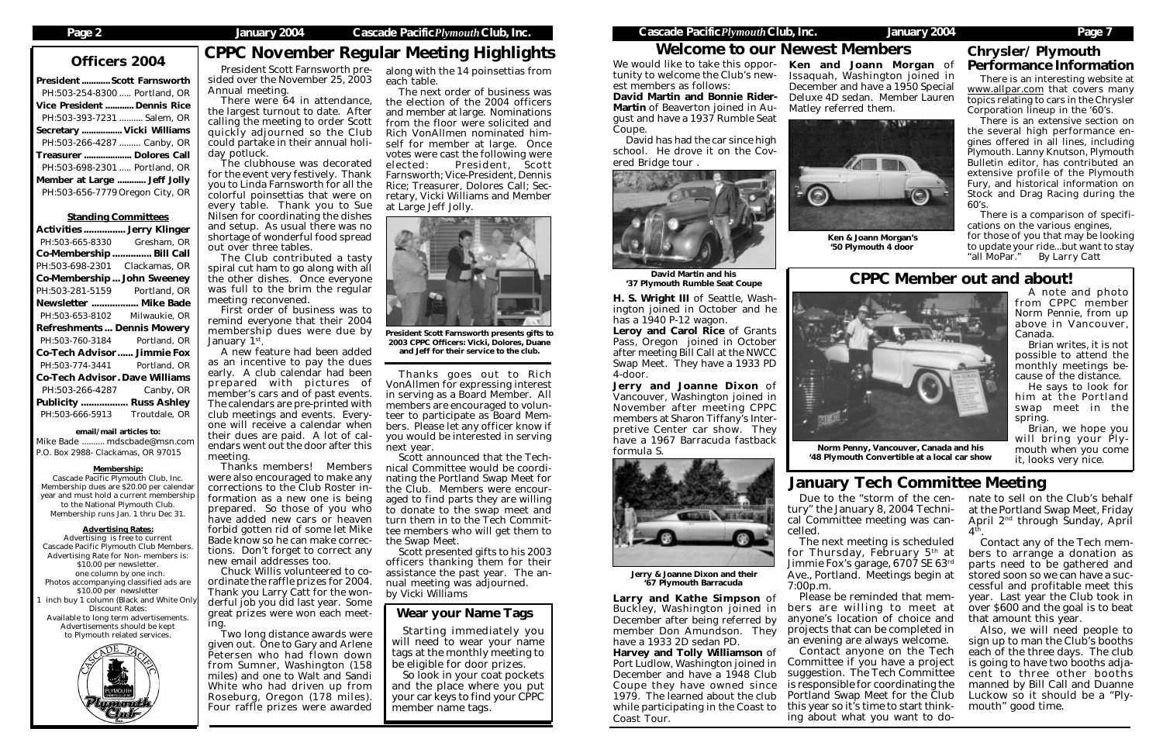| <b>President  Scott Farnsworth</b> |  |
|------------------------------------|--|
| PH:503-254-8300  Portland, OR      |  |
| Vice President  Dennis Rice        |  |
| PH:503-393-7231  Salem, OR         |  |
| Secretary  Vicki Williams          |  |
| PH:503-266-4287  Canby, OR         |  |
| Treasurer  Dolores Call            |  |
| PH:503-698-2301  Portland, OR      |  |
| Member at Large  Jeff Jolly        |  |
| PH:503-656-7779 Oregon City, OR    |  |

#### Standing Committees

| <b>Activities  Jerry Klinger</b>      |               |
|---------------------------------------|---------------|
| PH:503-665-8330                       | Gresham, OR   |
| Co-Membership  Bill Call              |               |
| PH:503-698-2301                       | Clackamas, OR |
| <b>Co-Membership John Sweeney</b>     |               |
| PH:503-281-5159 Portland, OR          |               |
| Newsletter  Mike Bade                 |               |
| PH:503-653-8102 Milwaukie, OR         |               |
|                                       |               |
| <b>Refreshments Dennis Mowery</b>     |               |
| PH:503-760-3184 Portland, OR          |               |
| <b>Co-Tech Advisor Jimmie Fox</b>     |               |
| PH:503-774-3441 Portland, OR          |               |
| <b>Co-Tech Advisor. Dave Williams</b> |               |
| PH:503-266-4287                       | Canby, OR     |
| <b>Publicity  Russ Ashley</b>         |               |

email/mail articles to:

Mike Bade .......... mdscbade@msn.com P.O. Box 2988- Clackamas, OR 97015

#### Membership:

Cascade Pacific Plymouth Club, Inc. Membership dues are \$20.00 per calendar year and must hold a current membership to the National Plymouth Club. Membership runs Jan. 1 thru Dec 31.

#### Advertising Rates:

Advertising is free to current Cascade Pacific Plymouth Club Members. Advertising Rate for Non- members is: \$10.00 per newsletter. one column by one inch. Photos accompanying classified ads are \$10.00 per newsletter inch buy 1 column (Black and White Only Discount Rates: Available to long term advertisements. Advertisements should be kept to Plymouth related services.



# Officers 2004 CPPC November Regular Meeting Highlights

President Scott Farnsworth presided over the November 25, 2003 Annual meeting.

> So look in your coat pockets and the place where you put your car keys to find your CPPC member name tags.

### Page 2 January 2004 Cascade Pacific *Plymouth* Club, Inc. Cascade Pacific *Plymouth* Club, Inc. January 2004 Page 7

There were 64 in attendance, the largest turnout to date. After calling the meeting to order Scott quickly adjourned so the Club could partake in their annual holiday potluck.

The clubhouse was decorated for the event very festively. Thank you to Linda Farnsworth for all the colorful poinsettias that were on every table. Thank you to Sue Nilsen for coordinating the dishes and setup. As usual there was no shortage of wonderful food spread out over three tables.

The Club contributed a tasty spiral cut ham to go along with all the other dishes. Once everyone was full to the brim the regular meeting reconvened.

First order of business was to remind everyone that their 2004 membership dues were due by January 1st.

H. S. Wright III of Seattle, Washington joined in October and he has a  $1940$  P-12 wagon.

A new feature had been added as an incentive to pay the dues early. A club calendar had been prepared with pictures of member's cars and of past events. The calendars are pre-printed with club meetings and events. Everyone will receive a calendar when their dues are paid. A lot of calendars went out the door after this meeting.

We would like to take this oppor- Ken and Joann Morgan of Issaquah, Washington joined in December and have a 1950 Special Deluxe 4D sedan. Member Lauren Matley referred them.





Thanks members! Members were also encouraged to make any corrections to the Club Roster information as a new one is being prepared. So those of you who have added new cars or heaven forbid gotten rid of some let Mike Bade know so he can make corrections. Don't forget to correct any new email addresses too.

Chuck Willis volunteered to coordinate the raffle prizes for 2004. Thank you Larry Catt for the wonderful job you did last year. Some great prizes were won each meeting.

Two long distance awards were given out. One to Gary and Arlene Petersen who had flown down from Sumner, Washington (158 miles) and one to Walt and Sandi White who had driven up from Roseburg, Oregon (178 miles). Four raffle prizes were awarded

nate to sell on the Club's behalf at the Portland Swap Meet, Friday April 2nd through Sunday, April  $4<sup>th</sup>$ .

### Wear your Name Tags

Starting immediately you will need to wear your name tags at the monthly meeting to be eligible for door prizes.

along with the 14 poinsettias from each table.

> for those of you that may be looking to update your ride...but want to stay<br>"all MoPar." By Larry Catt **By Larry Catt**

The next order of business was the election of the 2004 officers and member at large. Nominations from the floor were solicited and Rich VonAllmen nominated himself for member at large. Once votes were cast the following were elected: President, Scott Farnsworth; Vice-President, Dennis Rice; Treasurer, Dolores Call; Secretary, Vicki Williams and Member at Large Jeff Jolly.

Thanks goes out to Rich VonAllmen for expressing interest in serving as a Board Member. All members are encouraged to volunteer to participate as Board Members. Please let any officer know if you would be interested in serving next year.

Scott announced that the Technical Committee would be coordinating the Portland Swap Meet for the Club. Members were encouraged to find parts they are willing to donate to the swap meet and turn them in to the Tech Committee members who will get them to the Swap Meet.

Scott presented gifts to his 2003 officers thanking them for their assistance the past year. The annual meeting was adjourned. *by Vicki Williams*

tunity to welcome the Club's newest members as follows:

David Martin and Bonnie Rider-Martin of Beaverton joined in August and have a 1937 Rumble Seat Coupe.

David has had the car since high school. He drove it on the Covered Bridge tour .



Leroy and Carol Rice of Grants Pass, Oregon joined in October after meeting Bill Call at the NWCC Swap Meet. They have a 1933 PD 4-door.

Jerry and Joanne Dixon of Vancouver, Washington joined in November after meeting CPPC members at Sharon Tiffany's Interpretive Center car show. They have a 1967 Barracuda fastback formula S.

Larry and Kathe Simpson of Buckley, Washington joined in December after being referred by member Don Amundson. They have a 1933 2D sedan PD.

Harvey and Tolly Williamson of Port Ludlow, Washington joined in December and have a 1948 Club Coupe they have owned since 1979. The learned about the club while participating in the Coast to Coast Tour.

Due to the "storm of the century" the January 8, 2004 Technical Committee meeting was cancelled.

The next meeting is scheduled for Thursday, February  $5<sup>th</sup>$  at Jimmie Fox's garage, 6707 SE 63rd Ave., Portland. Meetings begin at 7:00p.m.

Please be reminded that members are willing to meet at anyone's location of choice and projects that can be completed in an evening are always welcome. Contact anyone on the Tech Committee if you have a project suggestion. The Tech Committee is responsible for coordinating the Portland Swap Meet for the Club this year so it's time to start thinking about what you want to do-



President Scott Farnsworth presents gifts to 2003 CPPC Officers: Vicki, Dolores, Duane and Jeff for their service to the club.

## Welcome to our Newest Members



 Jerry & Joanne Dixon and their '67 Plymouth Barracuda

 Ken & Joann Morgan's '50 Plymouth 4 door

David Martin and his '37 Plymouth Rumble Seat Coupe

# January Tech Committee Meeting

Contact any of the Tech members to arrange a donation as parts need to be gathered and stored soon so we can have a successful and profitable meet this year. Last year the Club took in over \$600 and the goal is to beat that amount this year.

Also, we will need people to sign up to man the Club's booths each of the three days. The club is going to have two booths adjacent to three other booths manned by Bill Call and Duanne Luckow so it should be a "Plymouth" good time.

# Chrysler/ Plymouth Performance Information

There is an interesting website at www.allpar.com that covers many topics relating to cars in the Chrysler Corporation lineup in the '60's.

There is an extensive section on the several high performance engines offered in all lines, including Plymouth. Lanny Knutson, Plymouth Bulletin editor, has contributed an extensive profile of the Plymouth Fury, and historical information on Stock and Drag Racing during the 60's.

There is a comparison of specifications on the various engines,

> A note and photo from CPPC member Norm Pennie, from up above in Vancouver, Canada.

Brian writes, it is not possible to attend the monthly meetings because of the distance.

He says to look for him at the Portland swap meet in the spring.

Brian, we hope you will bring your Plymouth when you come it, looks very nice.

# CPPC Member out and about!

Norm Penny, Vancouver, Canada and his '48 Plymouth Convertible at a local car show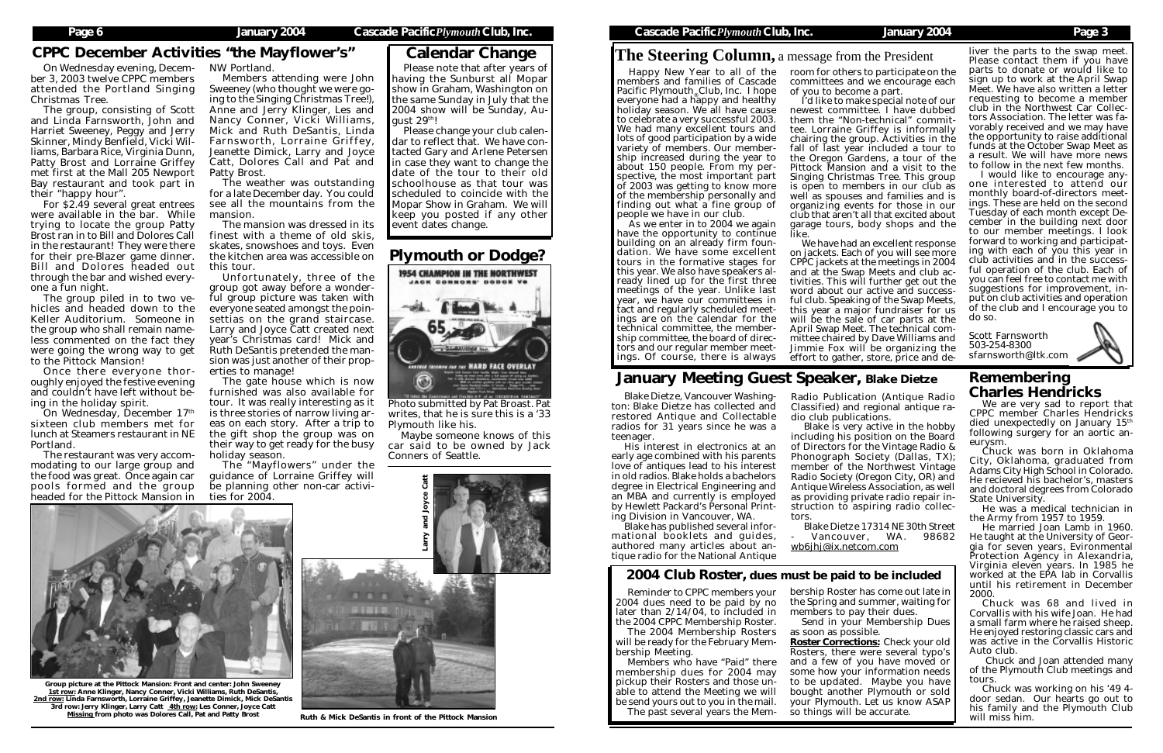## CPPC December Activities "the Mayflower's"

On Wednesday evening, December 3, 2003 twelve CPPC members attended the Portland Singing Christmas Tree.

The group, consisting of Scott and Linda Farnsworth, John and Harriet Sweeney, Peggy and Jerry Skinner, Mindy Benfield, Vicki Williams, Barbara Rice, Virginia Dunn, Patty Brost and Lorraine Griffey met first at the Mall 205 Newport Bay restaurant and took part in their "happy hour".

For \$2.49 several great entrees were available in the bar. While trying to locate the group Patty Brost ran in to Bill and Dolores Call in the restaurant! They were there for their pre-Blazer game dinner. Bill and Dolores headed out through the bar and wished everyone a fun night.

The group piled in to two vehicles and headed down to the Keller Auditorium. Someone in the group who shall remain nameless commented on the fact they were going the wrong way to get to the Pittock Mansion!

Once there everyone thoroughly enjoyed the festive evening and couldn't have left without being in the holiday spirit.

On Wednesday, December 17th sixteen club members met for lunch at Steamers restaurant in NE Portland.

The restaurant was very accommodating to our large group and the food was great. Once again car pools formed and the group headed for the Pittock Mansion in NW Portland.

Members attending were John Sweeney (who thought we were going to the Singing Christmas Tree!), Anne and Jerry Klinger, Les and Nancy Conner, Vicki Williams, Mick and Ruth DeSantis, Linda Farnsworth, Lorraine Griffey, Jeanette Dimick, Larry and Joyce Catt, Dolores Call and Pat and Patty Brost.

The weather was outstanding for a late December day. You could see all the mountains from the mansion.

> Blake is very active in the hobby including his position on the Board of Directors for the Vintage Radio & Phonograph Society (Dallas, TX); member of the Northwest Vintage Radio Society (Oregon City, OR) and Antique Wireless Association, as well as providing private radio repair instruction to aspiring radio collec-

The mansion was dressed in its finest with a theme of old skis, skates, snowshoes and toys. Even the kitchen area was accessible on this tour.

Unfortunately, three of the group got away before a wonderful group picture was taken with everyone seated amongst the poinsettias on the grand staircase. Larry and Joyce Catt created next year's Christmas card! Mick and Ruth DeSantis pretended the mansion was just another of their properties to manage!

The gate house which is now furnished was also available for tour. It was really interesting as it is three stories of narrow living areas on each story. After a trip to the gift shop the group was on their way to get ready for the busy holiday season.

> Members who have "Paid" there membership dues for 2004 may pickup their Rosters and those unable to attend the Meeting we will be send yours out to you in the mail. The past several years the Mem-

The "Mayflowers" under the guidance of Lorraine Griffey will be planning other non-car activities for 2004.

Please note that after years of having the Sunburst all Mopar show in Graham, Washington on the same Sunday in July that the 2004 show will be Sunday, August 29th!

Please change your club calendar to reflect that. We have contacted Gary and Arlene Petersen in case they want to change the date of the tour to their old schoolhouse as that tour was scheduled to coincide with the Mopar Show in Graham. We will keep you posted if any other event dates change.

> Blake Dietze, Vancouver Washington: Blake Dietze has collected and restored Antique and Collectable radios for 31 years since he was a teenager.

Happy New Year to all of the members and families of Cascade Pacific Plymouth Club, Inc. I hope everyone had a happy and healthy holiday season. We all have cause to celebrate a very successful 2003. We had many excellent tours and lots of good participation by a wide variety of members. Our membership increased during the year to about 150 people. From my perspective, the most important part of 2003 was getting to know more of the membership personally and finding out what a fine group of people we have in our club.

His interest in electronics at an early age combined with his parents love of antiques lead to his interest in old radios. Blake holds a bachelors degree in Electrical Engineering and an MBA and currently is employed by Hewlett Packard's Personal Printing Division in Vancouver, WA.

Blake has published several informational booklets and guides, authored many articles about antique radio for the National Antique

Radio Publication (Antique Radio Classified) and regional antique radio club publications.

tors.

Blake Dietze 17314 NE 30th Street Vancouver, WA. 98682 wb6jhj@ix.netcom.com

# January Meeting Guest Speaker, Blake Dietze

Group picture at the Pittock Mansion: Front and center: John Sweeney 1st row: Anne Klinger, Nancy Conner, Vicki Williams, Ruth DeSantis, 2nd row: Linda Farnsworth, Lorraine Griffey, Jeanette Dimick, Mick DeSantis 3rd row: Jerry Klinger, Larry Catt 4th row: Les Conner, Joyce Catt<br>Missing from photo was Dolores Call, Pat and Patty Brost





Reminder to CPPC members your 2004 dues need to be paid by no later than 2/14/04, to included in the 2004 CPPC Membership Roster.

The 2004 Membership Rosters will be ready for the February Membership Meeting.

## 2004 Club Roster, dues must be paid to be included

bership Roster has come out late in the Spring and summer, waiting for members to pay their dues. Send in your Membership Dues

as soon as possible. Roster Corrections: Check your old Rosters, there were several typo's and a few of you have moved or some how your information needs to be updated. Maybe you have bought another Plymouth or sold your Plymouth. Let us know ASAP so things will be accurate.

# **The Steering Column,** a message from the President

We are very sad to report that CPPC member Charles Hendricks died unexpectedly on January 15<sup>th</sup> following surgery for an aortic aneurysm.

Chuck was born in Oklahoma City, Oklahoma, graduated from Adams City High School in Colorado. He recieved his bachelor's, masters and doctoral degrees from Colorado State University.

He was a medical technician in the Army from 1957 to 1959.

He married Joan Lamb in 1960. He taught at the University of Georgia for seven years, Evironmental Protection Agency in Alexandria, Virginia eleven years. In 1985 he worked at the EPA lab in Corvallis until his retirement in December 2000.

Chuck was 68 and lived in Corvallis with his wife Joan. He had a small farm where he raised sheep. He enjoyed restoring classic cars and was active in the Corvallis Historic Auto club.

 Chuck and Joan attended many of the Plymouth Club meetings and tours.

Chuck was working on his '49 4 door sedan. Our hearts go out to his family and the Plymouth Club will miss him.

## Remembering Charles Hendricks



Photo submitted by Pat Broast. Pat writes, that he is sure this is a '33 Plymouth like his.

Maybe someone knows of this car said to be owned by Jack Conners of Seattle.

## Plymouth or Dodge?

As we enter in to 2004 we again have the opportunity to continue building on an already firm foundation. We have some excellent tours in the formative stages for this year. We also have speakers already lined up for the first three meetings of the year. Unlike last year, we have our committees in tact and regularly scheduled meetings are on the calendar for the technical committee, the membership committee, the board of directors and our regular member meetings. Of course, there is always

room for others to participate on the committees and we encourage each

of you to become a part.

I'd like to make special note of our newest committee. I have dubbed them the "Non-technical" committee. Lorraine Griffey is informally chairing the group. Activities in the fall of last year included a tour to the Oregon Gardens, a tour of the Pittock Mansion and a visit to the Singing Christmas Tree. This group is open to members in our club as well as spouses and families and is organizing events for those in our club that aren't all that excited about garage tours, body shops and the like.

We have had an excellent response on jackets. Each of you will see more CPPC jackets at the meetings in 2004 and at the Swap Meets and club activities. This will further get out the word about our active and successful club. Speaking of the Swap Meets, this year a major fundraiser for us will be the sale of car parts at the April Swap Meet. The technical committee chaired by Dave Williams and Jimmie Fox will be organizing the effort to gather, store, price and de-

liver the parts to the swap meet. Please contact them if you have parts to donate or would like to sign up to work at the April Swap Meet. We have also written a letter requesting to become a member club in the Northwest Car Collectors Association. The letter was favorably received and we may have the opportunity to raise additional funds at the October Swap Meet as a result. We will have more news to follow in the next few months.

I would like to encourage anyone interested to attend our monthly board-of-directors meetings. These are held on the second Tuesday of each month except December in the building next door to our member meetings. I look forward to working and participating with each of you this year in club activities and in the successful operation of the club. Each of you can feel free to contact me with suggestions for improvement, input on club activities and operation of the club and I encourage you to do so.

Scott Farnsworth 503-254-8300 sfarnsworth@ltk.com